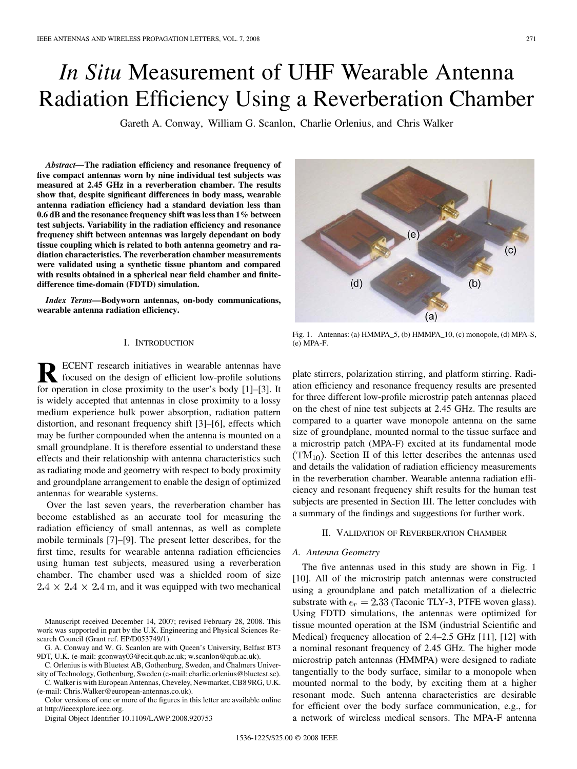# *In Situ* Measurement of UHF Wearable Antenna Radiation Efficiency Using a Reverberation Chamber

Gareth A. Conway, William G. Scanlon, Charlie Orlenius, and Chris Walker

*Abstract—***The radiation efficiency and resonance frequency of five compact antennas worn by nine individual test subjects was measured at 2.45 GHz in a reverberation chamber. The results show that, despite significant differences in body mass, wearable antenna radiation efficiency had a standard deviation less than 0.6 dB and the resonance frequency shift was less than 1% between test subjects. Variability in the radiation efficiency and resonance frequency shift between antennas was largely dependant on body tissue coupling which is related to both antenna geometry and radiation characteristics. The reverberation chamber measurements were validated using a synthetic tissue phantom and compared with results obtained in a spherical near field chamber and finitedifference time-domain (FDTD) simulation.**

*Index Terms—***Bodyworn antennas, on-body communications, wearable antenna radiation efficiency.**

#### I. INTRODUCTION

**R** ECENT research initiatives in wearable antennas have<br>focused on the design of efficient low-profile solutions<br>for energian in also a provinity to the weak's hedy [1] [2] It for operation in close proximity to the user's body [1]–[3]. It is widely accepted that antennas in close proximity to a lossy medium experience bulk power absorption, radiation pattern distortion, and resonant frequency shift [3]–[6], effects which may be further compounded when the antenna is mounted on a small groundplane. It is therefore essential to understand these effects and their relationship with antenna characteristics such as radiating mode and geometry with respect to body proximity and groundplane arrangement to enable the design of optimized antennas for wearable systems.

Over the last seven years, the reverberation chamber has become established as an accurate tool for measuring the radiation efficiency of small antennas, as well as complete mobile terminals [7]–[9]. The present letter describes, for the first time, results for wearable antenna radiation efficiencies using human test subjects, measured using a reverberation chamber. The chamber used was a shielded room of size  $2.4 \times 2.4 \times 2.4$  m, and it was equipped with two mechanical

Manuscript received December 14, 2007; revised February 28, 2008. This work was supported in part by the U.K. Engineering and Physical Sciences Research Council (Grant ref. EP/D053749/1).

G. A. Conway and W. G. Scanlon are with Queen's University, Belfast BT3 9DT, U.K. (e-mail: gconway03@ecit.qub.ac.uk; w.scanlon@qub.ac.uk).

C. Orlenius is with Bluetest AB, Gothenburg, Sweden, and Chalmers Univer-

sity of Technology, Gothenburg, Sweden (e-mail: charlie.orlenius@bluetest.se). C. Walker is with European Antennas, Cheveley, Newmarket, CB8 9RG, U.K.

(e-mail: Chris.Walker@european-antennas.co.uk). Color versions of one or more of the figures in this letter are available online at http://ieeexplore.ieee.org.

Digital Object Identifier 10.1109/LAWP.2008.920753

 $(e)$  $(c)$  $(d)$  $(b)$  $(a)$ 

Fig. 1. Antennas: (a) HMMPA\_5, (b) HMMPA\_10, (c) monopole, (d) MPA-S, (e) MPA-F.

plate stirrers, polarization stirring, and platform stirring. Radiation efficiency and resonance frequency results are presented for three different low-profile microstrip patch antennas placed on the chest of nine test subjects at 2.45 GHz. The results are compared to a quarter wave monopole antenna on the same size of groundplane, mounted normal to the tissue surface and a microstrip patch (MPA-F) excited at its fundamental mode  $(TM_{10})$ . Section II of this letter describes the antennas used and details the validation of radiation efficiency measurements in the reverberation chamber. Wearable antenna radiation efficiency and resonant frequency shift results for the human test subjects are presented in Section III. The letter concludes with a summary of the findings and suggestions for further work.

# II. VALIDATION OF REVERBERATION CHAMBER

#### *A. Antenna Geometry*

The five antennas used in this study are shown in Fig. 1 [10]. All of the microstrip patch antennas were constructed using a groundplane and patch metallization of a dielectric substrate with  $\epsilon_r = 2.33$  (Taconic TLY-3, PTFE woven glass). Using FDTD simulations, the antennas were optimized for tissue mounted operation at the ISM (industrial Scientific and Medical) frequency allocation of 2.4–2.5 GHz [11], [12] with a nominal resonant frequency of 2.45 GHz. The higher mode microstrip patch antennas (HMMPA) were designed to radiate tangentially to the body surface, similar to a monopole when mounted normal to the body, by exciting them at a higher resonant mode. Such antenna characteristics are desirable for efficient over the body surface communication, e.g., for a network of wireless medical sensors. The MPA-F antenna

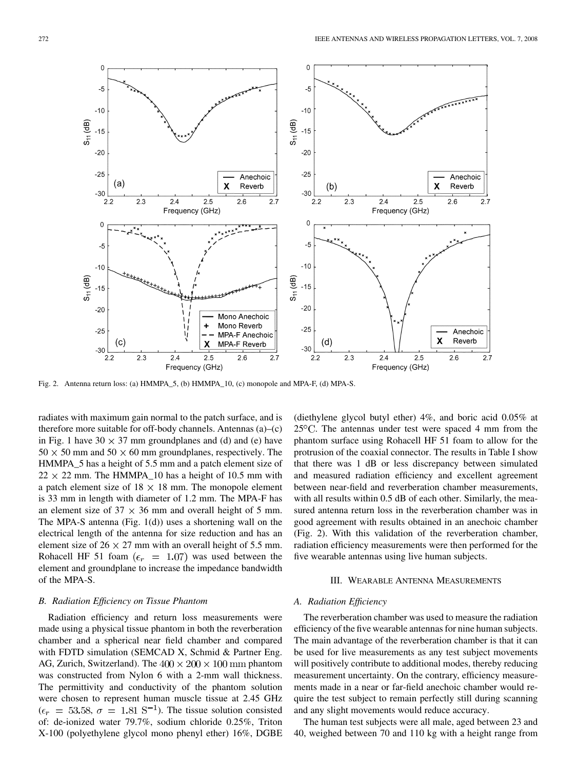

Fig. 2. Antenna return loss: (a) HMMPA\_5, (b) HMMPA\_10, (c) monopole and MPA-F, (d) MPA-S.

radiates with maximum gain normal to the patch surface, and is therefore more suitable for off-body channels. Antennas (a)–(c) in Fig. 1 have  $30 \times 37$  mm groundplanes and (d) and (e) have  $50 \times 50$  mm and  $50 \times 60$  mm groundplanes, respectively. The HMMPA 5 has a height of 5.5 mm and a patch element size of  $22 \times 22$  mm. The HMMPA\_10 has a height of 10.5 mm with a patch element size of  $18 \times 18$  mm. The monopole element is 33 mm in length with diameter of 1.2 mm. The MPA-F has an element size of  $37 \times 36$  mm and overall height of 5 mm. The MPA-S antenna (Fig. 1(d)) uses a shortening wall on the electrical length of the antenna for size reduction and has an element size of  $26 \times 27$  mm with an overall height of 5.5 mm. Rohacell HF 51 foam ( $\epsilon_r = 1.07$ ) was used between the element and groundplane to increase the impedance bandwidth of the MPA-S.

#### *B. Radiation Efficiency on Tissue Phantom*

Radiation efficiency and return loss measurements were made using a physical tissue phantom in both the reverberation chamber and a spherical near field chamber and compared with FDTD simulation (SEMCAD X, Schmid & Partner Eng. AG, Zurich, Switzerland). The  $400 \times 200 \times 100$  mm phantom was constructed from Nylon 6 with a 2-mm wall thickness. The permittivity and conductivity of the phantom solution were chosen to represent human muscle tissue at 2.45 GHz  $(\epsilon_r = 53.58, \sigma = 1.81 \text{ S}^{-1})$ . The tissue solution consisted of: de-ionized water 79.7%, sodium chloride 0.25%, Triton X-100 (polyethylene glycol mono phenyl ether) 16%, DGBE

(diethylene glycol butyl ether) 4%, and boric acid 0.05% at  $25^{\circ}$ C. The antennas under test were spaced 4 mm from the phantom surface using Rohacell HF 51 foam to allow for the protrusion of the coaxial connector. The results in Table I show that there was 1 dB or less discrepancy between simulated and measured radiation efficiency and excellent agreement between near-field and reverberation chamber measurements, with all results within 0.5 dB of each other. Similarly, the measured antenna return loss in the reverberation chamber was in good agreement with results obtained in an anechoic chamber (Fig. 2). With this validation of the reverberation chamber, radiation efficiency measurements were then performed for the five wearable antennas using live human subjects.

#### III. WEARABLE ANTENNA MEASUREMENTS

# *A. Radiation Efficiency*

The reverberation chamber was used to measure the radiation efficiency of the five wearable antennas for nine human subjects. The main advantage of the reverberation chamber is that it can be used for live measurements as any test subject movements will positively contribute to additional modes, thereby reducing measurement uncertainty. On the contrary, efficiency measurements made in a near or far-field anechoic chamber would require the test subject to remain perfectly still during scanning and any slight movements would reduce accuracy.

The human test subjects were all male, aged between 23 and 40, weighed between 70 and 110 kg with a height range from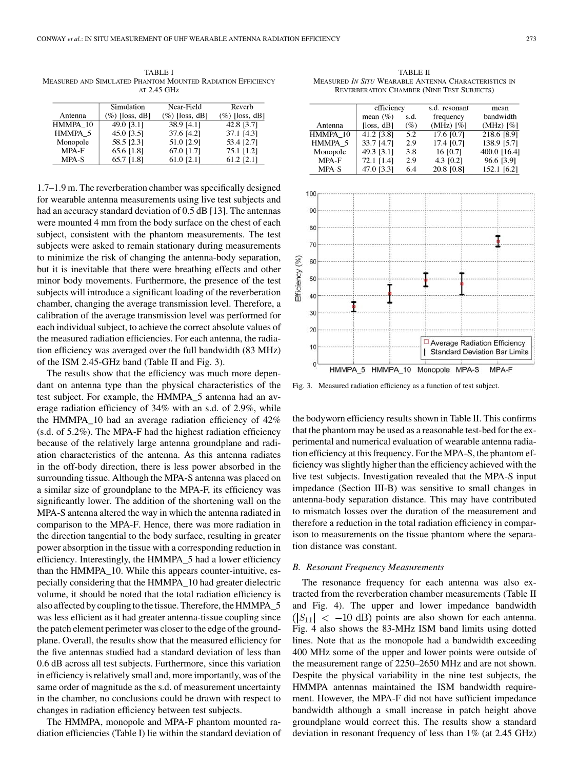TABLE I MEASURED AND SIMULATED PHANTOM MOUNTED RADIATION EFFICIENCY AT 2.45 GHz

|          | Simulation        | Near-Field        | Reverb            |
|----------|-------------------|-------------------|-------------------|
| Antenna  | $(\%)$ [loss, dB] | $(\%)$ [loss, dB] | $(\%)$ [loss, dB] |
| HMMPA 10 | 49.0 [3.1]        | 38.9 [4.1]        | 42.8 13.71        |
| HMMPA 5  | 45.0 [3.5]        | 37.6 [4.2]        | 37.1 [4.3]        |
| Monopole | 58.5 [2.3]        | 51.0 [2.9]        | 53.4 [2.7]        |
| MPA-F    | 65.6 [1.8]        | 67.0 [1.7]        | 75.1 [1.2]        |
| MPA-S    | 65.7 [1.8]        | 61.0 [2.1]        | 61.2 [2.1]        |

1.7–1.9 m. The reverberation chamber was specifically designed for wearable antenna measurements using live test subjects and had an accuracy standard deviation of 0.5 dB [13]. The antennas were mounted 4 mm from the body surface on the chest of each subject, consistent with the phantom measurements. The test subjects were asked to remain stationary during measurements to minimize the risk of changing the antenna-body separation, but it is inevitable that there were breathing effects and other minor body movements. Furthermore, the presence of the test subjects will introduce a significant loading of the reverberation chamber, changing the average transmission level. Therefore, a calibration of the average transmission level was performed for each individual subject, to achieve the correct absolute values of the measured radiation efficiencies. For each antenna, the radiation efficiency was averaged over the full bandwidth (83 MHz) of the ISM 2.45-GHz band (Table II and Fig. 3).

The results show that the efficiency was much more dependant on antenna type than the physical characteristics of the test subject. For example, the HMMPA\_5 antenna had an average radiation efficiency of 34% with an s.d. of 2.9%, while the HMMPA\_10 had an average radiation efficiency of 42% (s.d. of 5.2%). The MPA-F had the highest radiation efficiency because of the relatively large antenna groundplane and radiation characteristics of the antenna. As this antenna radiates in the off-body direction, there is less power absorbed in the surrounding tissue. Although the MPA-S antenna was placed on a similar size of groundplane to the MPA-F, its efficiency was significantly lower. The addition of the shortening wall on the MPA-S antenna altered the way in which the antenna radiated in comparison to the MPA-F. Hence, there was more radiation in the direction tangential to the body surface, resulting in greater power absorption in the tissue with a corresponding reduction in efficiency. Interestingly, the HMMPA\_5 had a lower efficiency than the HMMPA\_10. While this appears counter-intuitive, especially considering that the HMMPA\_10 had greater dielectric volume, it should be noted that the total radiation efficiency is also affected by coupling to the tissue. Therefore, the HMMPA\_5 was less efficient as it had greater antenna-tissue coupling since the patch element perimeter was closer to the edge of the groundplane. Overall, the results show that the measured efficiency for the five antennas studied had a standard deviation of less than 0.6 dB across all test subjects. Furthermore, since this variation in efficiency is relatively small and, more importantly, was of the same order of magnitude as the s.d. of measurement uncertainty in the chamber, no conclusions could be drawn with respect to changes in radiation efficiency between test subjects.

The HMMPA, monopole and MPA-F phantom mounted radiation efficiencies (Table I) lie within the standard deviation of

TABLE II MEASURED *IN SITU* WEARABLE ANTENNA CHARACTERISTICS IN REVERBERATION CHAMBER (NINE TEST SUBJECTS)

|          | efficiency   |      | s.d. resonant  | mean           |
|----------|--------------|------|----------------|----------------|
|          | mean $(\% )$ | s.d. | frequency      | bandwidth      |
| Antenna  | [loss, dB]   | (%)  | $(MHz)$ $[\%]$ | $(MHz)$ $[\%]$ |
| HMMPA 10 | 41.2 [3.8]   | 5.2  | $17.6$ [0.7]   | 218.6 [8.9]    |
| HMMPA 5  | 33.7 [4.7]   | 2.9  | 17.4 [0.7]     | 138.9 [5.7]    |
| Monopole | 49.3 [3.1]   | 3.8  | 16 [0.7]       | 400.0 [16.4]   |
| MPA-F    | 72.1 [1.4]   | 2.9  | 4.3 [0.2]      | 96.6 [3.9]     |
| MPA - S  | 47 A 13 31   | 61   | 20.8.10.81     | 152 1 16 21    |



Fig. 3. Measured radiation efficiency as a function of test subject.

the bodyworn efficiency results shown in Table II. This confirms that the phantom may be used as a reasonable test-bed for the experimental and numerical evaluation of wearable antenna radiation efficiency at this frequency. For the MPA-S, the phantom efficiency was slightly higher than the efficiency achieved with the live test subjects. Investigation revealed that the MPA-S input impedance (Section III-B) was sensitive to small changes in antenna-body separation distance. This may have contributed to mismatch losses over the duration of the measurement and therefore a reduction in the total radiation efficiency in comparison to measurements on the tissue phantom where the separation distance was constant.

# *B. Resonant Frequency Measurements*

The resonance frequency for each antenna was also extracted from the reverberation chamber measurements (Table II and Fig. 4). The upper and lower impedance bandwidth  $(|S_{11}| < -10$  dB) points are also shown for each antenna. Fig. 4 also shows the 83-MHz ISM band limits using dotted lines. Note that as the monopole had a bandwidth exceeding 400 MHz some of the upper and lower points were outside of the measurement range of 2250–2650 MHz and are not shown. Despite the physical variability in the nine test subjects, the HMMPA antennas maintained the ISM bandwidth requirement. However, the MPA-F did not have sufficient impedance bandwidth although a small increase in patch height above groundplane would correct this. The results show a standard deviation in resonant frequency of less than 1% (at 2.45 GHz)